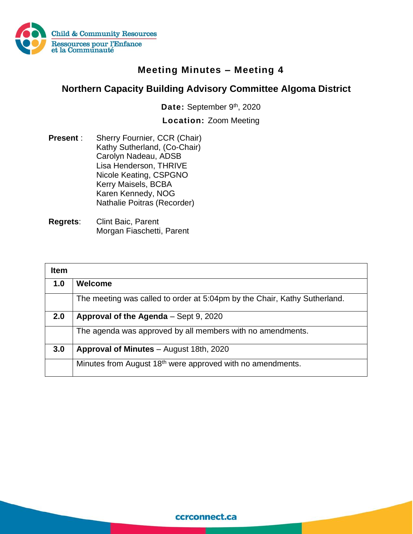

## **Meeting Minutes – Meeting 4**

## **Northern Capacity Building Advisory Committee Algoma District**

Date: September 9<sup>th</sup>, 2020

**Location:** Zoom Meeting

- **Present** : Sherry Fournier, CCR (Chair) Kathy Sutherland, (Co-Chair) Carolyn Nadeau, ADSB Lisa Henderson, THRIVE Nicole Keating, CSPGNO Kerry Maisels, BCBA Karen Kennedy, NOG Nathalie Poitras (Recorder)
- **Regrets**: Clint Baic, Parent Morgan Fiaschetti, Parent

| <b>Item</b> |                                                                           |
|-------------|---------------------------------------------------------------------------|
| 1.0         | Welcome                                                                   |
|             | The meeting was called to order at 5:04pm by the Chair, Kathy Sutherland. |
| 2.0         | Approval of the Agenda - Sept 9, 2020                                     |
|             | The agenda was approved by all members with no amendments.                |
| 3.0         | Approval of Minutes - August 18th, 2020                                   |
|             | Minutes from August 18 <sup>th</sup> were approved with no amendments.    |

ccrconnect.ca